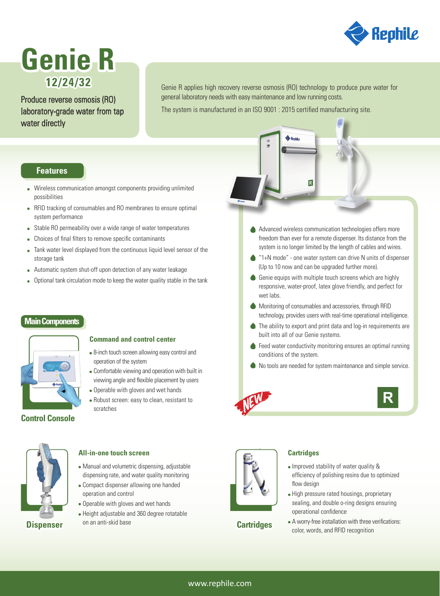

# **Genie R 12/24/32**

Produce reverse osmosis (RO) laboratory-grade water from tap water directly

Genie R applies high recovery reverse osmosis (RO) technology to produce pure water for general laboratory needs with easy maintenance and low running costs. The system is manufactured in an ISO 9001 : 2015 certified manufacturing site.

**Features**

- Wireless communication amongst components providing unlimited possibilities
- RFID tracking of consumables and RO membranes to ensure optimal system performance
- Stable RO permeability over a wide range of water temperatures
- Choices of final filters to remove specific contaminants
- Tank water level displayed from the continuous liquid level sensor of the storage tank
- Automatic system shut-off upon detection of any water leakage
- Optional tank circulation mode to keep the water quality stable in the tank

## **Main Components**



#### **Command and control center**

- 8-inch touch screen allowing easy control and operation of the system
- Comfortable viewing and operation with built in viewing angle and flexible placement by users
- Operable with gloves and wet hands
- Robust screen: easy to clean, resistant to scratches



#### **All-in-one touch screen**

- Manual and volumetric dispensing, adjustable dispensing rate, and water quality monitoring
- Compact dispenser allowing one handed operation and control
- Operable with gloves and wet hands
- Height adjustable and 360 degree rotatable on an anti-skid base



## **Cartridges**

## **Cartridges**

- Improved stability of water quality & efficiency of polishing resins due to optimized flow design
- High pressure rated housings, proprietary sealing, and double o-ring designs ensuring operational confidence
- A worry-free installation with three verifications: color, words, and RFID recognition

Advanced wireless communication technologies offers more freedom than ever for a remote dispenser. Its distance from the system is no longer limited by the length of cables and wires.

 $\overline{R}$ 

- "1+N mode" one water system can drive N units of dispenser (Up to 10 now and can be upgraded further more).
- Genie equips with multiple touch screens which are highly responsive, water-proof, latex glove friendly, and perfect for wet labs.
- Monitoring of consumables and accessories, through RFID technology, provides users with real-time operational intelligence.
- ◆ The ability to export and print data and log-in requirements are built into all of our Genie systems.
- ◆ Feed water conductivity monitoring ensures an optimal running conditions of the system.
- No tools are needed for system maintenance and simple service.